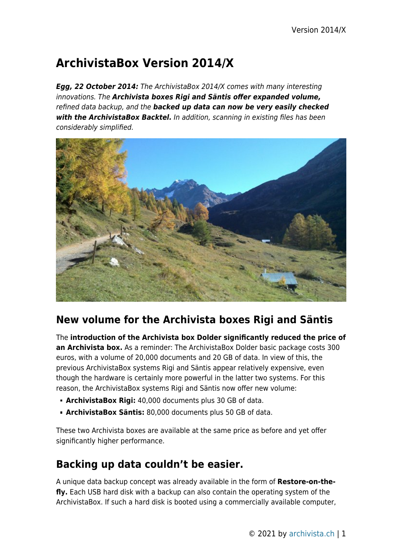# **ArchivistaBox Version 2014/X**

*Egg, 22 October 2014:* The ArchivistaBox 2014/X comes with many interesting innovations. The *Archivista boxes Rigi and Säntis offer expanded volume,* refined data backup, and the *backed up data can now be very easily checked with the ArchivistaBox Backtel.* In addition, scanning in existing files has been considerably simplified.



## **New volume for the Archivista boxes Rigi and Säntis**

The **introduction of the Archivista box Dolder significantly reduced the price of an Archivista box.** As a reminder: The ArchivistaBox Dolder basic package costs 300 euros, with a volume of 20,000 documents and 20 GB of data. In view of this, the previous ArchivistaBox systems Rigi and Säntis appear relatively expensive, even though the hardware is certainly more powerful in the latter two systems. For this reason, the ArchivistaBox systems Rigi and Säntis now offer new volume:

- **ArchivistaBox Rigi:** 40,000 documents plus 30 GB of data.
- **ArchivistaBox Säntis:** 80,000 documents plus 50 GB of data.

These two Archivista boxes are available at the same price as before and yet offer significantly higher performance.

## **Backing up data couldn't be easier.**

A unique data backup concept was already available in the form of **Restore-on-thefly.** Each USB hard disk with a backup can also contain the operating system of the ArchivistaBox. If such a hard disk is booted using a commercially available computer,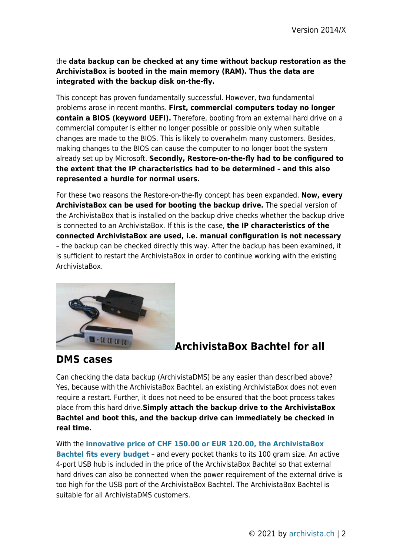the **data backup can be checked at any time without backup restoration as the ArchivistaBox is booted in the main memory (RAM). Thus the data are integrated with the backup disk on-the-fly.**

This concept has proven fundamentally successful. However, two fundamental problems arose in recent months. **First, commercial computers today no longer contain a BIOS (keyword UEFI).** Therefore, booting from an external hard drive on a commercial computer is either no longer possible or possible only when suitable changes are made to the BIOS. This is likely to overwhelm many customers. Besides, making changes to the BIOS can cause the computer to no longer boot the system already set up by Microsoft. **Secondly, Restore-on-the-fly had to be configured to the extent that the IP characteristics had to be determined – and this also represented a hurdle for normal users.**

For these two reasons the Restore-on-the-fly concept has been expanded. **Now, every ArchivistaBox can be used for booting the backup drive.** The special version of the ArchivistaBox that is installed on the backup drive checks whether the backup drive is connected to an ArchivistaBox. If this is the case, **the IP characteristics of the connected ArchivistaBox are used, i.e. manual configuration is not necessary** – the backup can be checked directly this way. After the backup has been examined, it is sufficient to restart the ArchivistaBox in order to continue working with the existing ArchivistaBox.



### **ArchivistaBox Bachtel for all**

#### **DMS cases**

Can checking the data backup (ArchivistaDMS) be any easier than described above? Yes, because with the ArchivistaBox Bachtel, an existing ArchivistaBox does not even require a restart. Further, it does not need to be ensured that the boot process takes place from this hard drive.**Simply attach the backup drive to the ArchivistaBox Bachtel and boot this, and the backup drive can immediately be checked in real time.**

With the **[innovative price of CHF 150.00 or EUR 120.00, the ArchivistaBox](http://shop.archivista.ch/oscommunity/catalog/advanced_search_result.php?keywords=bachtel&x=0&y=0) [Bachtel fits every budget](http://shop.archivista.ch/oscommunity/catalog/advanced_search_result.php?keywords=bachtel&x=0&y=0)** – and every pocket thanks to its 100 gram size. An active 4-port USB hub is included in the price of the ArchivistaBox Bachtel so that external hard drives can also be connected when the power requirement of the external drive is too high for the USB port of the ArchivistaBox Bachtel. The ArchivistaBox Bachtel is suitable for all ArchivistaDMS customers.